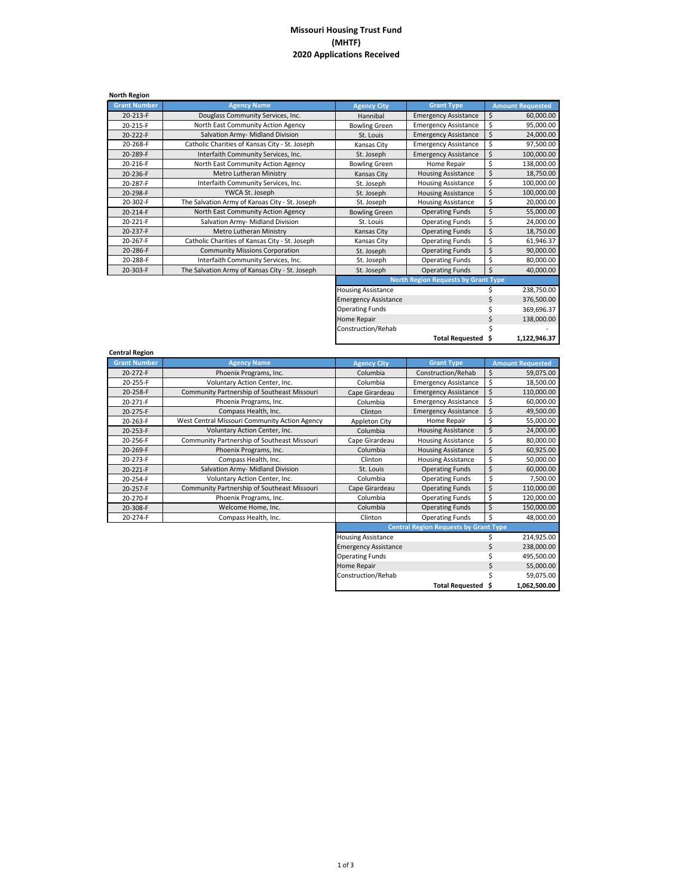## **Missouri Housing Trust Fund (MHTF) 2020 Applications Received**

| <b>North Region</b> |                                                |                           |                                            |                         |
|---------------------|------------------------------------------------|---------------------------|--------------------------------------------|-------------------------|
| <b>Grant Number</b> | <b>Agency Name</b>                             | <b>Agency City</b>        | <b>Grant Type</b>                          | <b>Amount Requested</b> |
| 20-213-F            | Douglass Community Services, Inc.              | Hannibal                  | <b>Emergency Assistance</b>                | \$<br>60,000.00         |
| 20-215-F            | North East Community Action Agency             | <b>Bowling Green</b>      | <b>Emergency Assistance</b>                | \$<br>95,000.00         |
| 20-222-F            | Salvation Army- Midland Division               | St. Louis                 | <b>Emergency Assistance</b>                | \$<br>24,000.00         |
| 20-268-F            | Catholic Charities of Kansas City - St. Joseph | Kansas City               | <b>Emergency Assistance</b>                | \$<br>97,500.00         |
| 20-289-F            | Interfaith Community Services, Inc.            | St. Joseph                | <b>Emergency Assistance</b>                | \$<br>100,000.00        |
| 20-216-F            | North East Community Action Agency             | <b>Bowling Green</b>      | Home Repair                                | \$<br>138,000.00        |
| 20-236-F            | Metro Lutheran Ministry                        | Kansas City               | <b>Housing Assistance</b>                  | \$<br>18,750.00         |
| 20-287-F            | Interfaith Community Services, Inc.            | St. Joseph                | <b>Housing Assistance</b>                  | \$<br>100,000.00        |
| 20-298-F            | YWCA St. Joseph                                | St. Joseph                | <b>Housing Assistance</b>                  | \$<br>100,000.00        |
| 20-302-F            | The Salvation Army of Kansas City - St. Joseph | St. Joseph                | <b>Housing Assistance</b>                  | \$<br>20,000.00         |
| 20-214-F            | North East Community Action Agency             | <b>Bowling Green</b>      | <b>Operating Funds</b>                     | \$<br>55,000.00         |
| 20-221-F            | Salvation Army- Midland Division               | St. Louis                 | <b>Operating Funds</b>                     | \$<br>24,000.00         |
| 20-237-F            | Metro Lutheran Ministry                        | Kansas City               | <b>Operating Funds</b>                     | Ś<br>18,750.00          |
| 20-267-F            | Catholic Charities of Kansas City - St. Joseph | Kansas City               | <b>Operating Funds</b>                     | Ś<br>61,946.37          |
| 20-286-F            | <b>Community Missions Corporation</b>          | St. Joseph                | <b>Operating Funds</b>                     | \$<br>90,000.00         |
| 20-288-F            | Interfaith Community Services, Inc.            | St. Joseph                | <b>Operating Funds</b>                     | \$<br>80,000.00         |
| 20-303-F            | The Salvation Army of Kansas City - St. Joseph | St. Joseph                | <b>Operating Funds</b>                     | \$<br>40,000.00         |
|                     |                                                |                           | <b>North Region Requests by Grant Type</b> |                         |
|                     |                                                | <b>Housing Assistance</b> |                                            | 238,750.00              |

| <b>North Region Requests by Grant Type</b> |                    |    |              |  |
|--------------------------------------------|--------------------|----|--------------|--|
| <b>Housing Assistance</b>                  |                    |    | 238,750.00   |  |
| <b>Emergency Assistance</b>                |                    | \$ | 376,500.00   |  |
| <b>Operating Funds</b>                     |                    | Ś  | 369,696.37   |  |
| Home Repair                                |                    | Ś  | 138,000.00   |  |
| Construction/Rehab                         |                    | Ś  |              |  |
|                                            | Total Requested \$ |    | 1,122,946.37 |  |

\$ 55,000.00 \$ 59,075.00 **\$ 1,062,500.00**

**Total Requested**

| <b>Central Region</b> |                                               |                             |                                              |    |                         |
|-----------------------|-----------------------------------------------|-----------------------------|----------------------------------------------|----|-------------------------|
| <b>Grant Number</b>   | <b>Agency Name</b>                            | <b>Agency City</b>          | <b>Grant Type</b>                            |    | <b>Amount Requested</b> |
| 20-272-F              | Phoenix Programs, Inc.                        | Columbia                    | Construction/Rehab                           | \$ | 59,075.00               |
| 20-255-F              | Voluntary Action Center, Inc.                 | Columbia                    | <b>Emergency Assistance</b>                  | \$ | 18,500.00               |
| 20-258-F              | Community Partnership of Southeast Missouri   | Cape Girardeau              | <b>Emergency Assistance</b>                  | \$ | 110,000.00              |
| 20-271-F              | Phoenix Programs, Inc.                        | Columbia                    | <b>Emergency Assistance</b>                  | \$ | 60,000.00               |
| 20-275-F              | Compass Health, Inc.                          | Clinton                     | <b>Emergency Assistance</b>                  | \$ | 49,500.00               |
| 20-263-F              | West Central Missouri Community Action Agency | Appleton City               | Home Repair                                  | \$ | 55,000.00               |
| 20-253-F              | Voluntary Action Center, Inc.                 | Columbia                    | <b>Housing Assistance</b>                    | \$ | 24,000.00               |
| 20-256-F              | Community Partnership of Southeast Missouri   | Cape Girardeau              | <b>Housing Assistance</b>                    | \$ | 80,000.00               |
| 20-269-F              | Phoenix Programs, Inc.                        | Columbia                    | <b>Housing Assistance</b>                    | \$ | 60,925.00               |
| 20-273-F              | Compass Health, Inc.                          | Clinton                     | <b>Housing Assistance</b>                    | \$ | 50,000.00               |
| 20-221-F              | Salvation Army- Midland Division              | St. Louis                   | <b>Operating Funds</b>                       | Ś  | 60,000.00               |
| 20-254-F              | Voluntary Action Center, Inc.                 | Columbia                    | <b>Operating Funds</b>                       | \$ | 7,500.00                |
| 20-257-F              | Community Partnership of Southeast Missouri   | Cape Girardeau              | <b>Operating Funds</b>                       | \$ | 110,000.00              |
| 20-270-F              | Phoenix Programs, Inc.                        | Columbia                    | <b>Operating Funds</b>                       | \$ | 120,000.00              |
| 20-308-F              | Welcome Home, Inc.                            | Columbia                    | <b>Operating Funds</b>                       | Ś  | 150,000.00              |
| 20-274-F              | Compass Health, Inc.                          | Clinton                     | <b>Operating Funds</b>                       | \$ | 48,000.00               |
|                       |                                               |                             | <b>Central Region Requests by Grant Type</b> |    |                         |
|                       |                                               | <b>Housing Assistance</b>   |                                              |    | 214,925.00              |
|                       |                                               | <b>Emergency Assistance</b> |                                              | \$ | 238,000.00              |
|                       |                                               | <b>Operating Funds</b>      |                                              | \$ | 495,500.00              |

Home Repair Construction/Rehab

## 1 of 3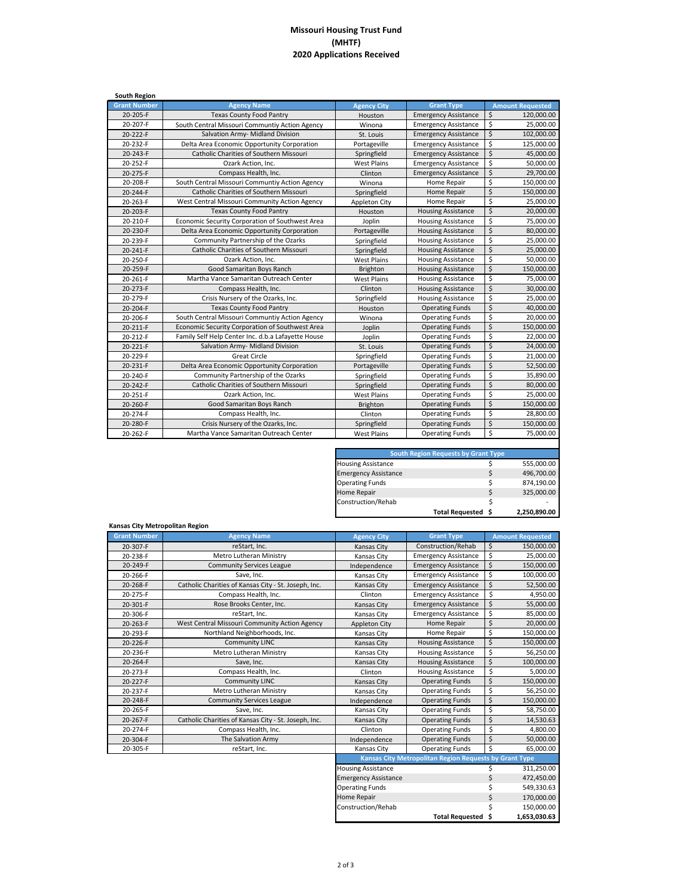## **Missouri Housing Trust Fund (MHTF) 2020 Applications Received**

| <b>South Region</b> |                                                    |                      |                             |                                 |
|---------------------|----------------------------------------------------|----------------------|-----------------------------|---------------------------------|
| <b>Grant Number</b> | <b>Agency Name</b>                                 | <b>Agency City</b>   | <b>Grant Type</b>           | <b>Amount Requested</b>         |
| $20 - 205 - F$      | <b>Texas County Food Pantry</b>                    | Houston              | <b>Emergency Assistance</b> | \$<br>120,000.00                |
| 20-207-F            | South Central Missouri Communtiy Action Agency     | Winona               | <b>Emergency Assistance</b> | \$<br>25.000.00                 |
| 20-222-F            | Salvation Army- Midland Division                   | St. Louis            | <b>Emergency Assistance</b> | \$<br>102,000.00                |
| 20-232-F            | Delta Area Economic Opportunity Corporation        | Portageville         | <b>Emergency Assistance</b> | \$<br>125,000.00                |
| 20-243-F            | Catholic Charities of Southern Missouri            | Springfield          | <b>Emergency Assistance</b> | \$<br>45,000.00                 |
| 20-252-F            | Ozark Action. Inc.                                 | <b>West Plains</b>   | <b>Emergency Assistance</b> | \$<br>50,000.00                 |
| 20-275-F            | Compass Health, Inc.                               | Clinton              | <b>Emergency Assistance</b> | \$<br>29,700.00                 |
| 20-208-F            | South Central Missouri Communtiy Action Agency     | Winona               | Home Repair                 | \$<br>150,000.00                |
| 20-244-F            | Catholic Charities of Southern Missouri            | Springfield          | Home Repair                 | $\zeta$<br>150,000.00           |
| 20-263-F            | West Central Missouri Community Action Agency      | <b>Appleton City</b> | Home Repair                 | \$<br>25,000.00                 |
| 20-203-F            | <b>Texas County Food Pantry</b>                    | Houston              | <b>Housing Assistance</b>   | $\zeta$<br>20,000.00            |
| 20-210-F            | Economic Security Corporation of Southwest Area    | Joplin               | <b>Housing Assistance</b>   | \$<br>75,000.00                 |
| 20-230-F            | Delta Area Economic Opportunity Corporation        | Portageville         | <b>Housing Assistance</b>   | $\zeta$<br>80,000.00            |
| 20-239-F            | Community Partnership of the Ozarks                | Springfield          | <b>Housing Assistance</b>   | \$<br>25,000.00                 |
| 20-241-F            | Catholic Charities of Southern Missouri            | Springfield          | <b>Housing Assistance</b>   | \$<br>25,000.00                 |
| 20-250-F            | Ozark Action, Inc.                                 | <b>West Plains</b>   | <b>Housing Assistance</b>   | \$<br>50.000.00                 |
| 20-259-F            | Good Samaritan Boys Ranch                          | Brighton             | <b>Housing Assistance</b>   | $\zeta$<br>150,000.00           |
| 20-261-F            | Martha Vance Samaritan Outreach Center             | <b>West Plains</b>   | <b>Housing Assistance</b>   | \$<br>75,000.00                 |
| 20-273-F            | Compass Health, Inc.                               | Clinton              | <b>Housing Assistance</b>   | \$<br>30,000.00                 |
| 20-279-F            | Crisis Nursery of the Ozarks, Inc.                 | Springfield          | <b>Housing Assistance</b>   | \$<br>25,000.00                 |
| 20-204-F            | <b>Texas County Food Pantry</b>                    | Houston              | <b>Operating Funds</b>      | $\ddot{\varsigma}$<br>40.000.00 |
| 20-206-F            | South Central Missouri Communtiy Action Agency     | Winona               | <b>Operating Funds</b>      | \$<br>20,000.00                 |
| 20-211-F            | Economic Security Corporation of Southwest Area    | Joplin               | <b>Operating Funds</b>      | \$<br>150,000.00                |
| 20-212-F            | Family Self Help Center Inc. d.b.a Lafayette House | Joplin               | <b>Operating Funds</b>      | \$<br>22,000.00                 |
| 20-221-F            | Salvation Army- Midland Division                   | St. Louis            | <b>Operating Funds</b>      | \$<br>24,000.00                 |
| 20-229-F            | <b>Great Circle</b>                                | Springfield          | <b>Operating Funds</b>      | \$<br>21,000.00                 |
| 20-231-F            | Delta Area Economic Opportunity Corporation        | Portageville         | <b>Operating Funds</b>      | $\zeta$<br>52,500.00            |
| 20-240-F            | Community Partnership of the Ozarks                | Springfield          | <b>Operating Funds</b>      | \$<br>35,890.00                 |
| 20-242-F            | Catholic Charities of Southern Missouri            | Springfield          | <b>Operating Funds</b>      | \$<br>80,000.00                 |
| 20-251-F            | Ozark Action, Inc.                                 | <b>West Plains</b>   | <b>Operating Funds</b>      | \$<br>25,000.00                 |
| 20-260-F            | Good Samaritan Boys Ranch                          | Brighton             | <b>Operating Funds</b>      | $\zeta$<br>150,000.00           |
| 20-274-F            | Compass Health, Inc.                               | Clinton              | <b>Operating Funds</b>      | \$<br>28,800.00                 |
| 20-280-F            | Crisis Nursery of the Ozarks, Inc.                 | Springfield          | <b>Operating Funds</b>      | $\zeta$<br>150,000.00           |
| 20-262-F            | Martha Vance Samaritan Outreach Center             | <b>West Plains</b>   | <b>Operating Funds</b>      | \$<br>75,000.00                 |
|                     |                                                    |                      |                             |                                 |

|                             | <b>South Region Requests by Grant Type</b> |    |              |
|-----------------------------|--------------------------------------------|----|--------------|
| <b>Housing Assistance</b>   |                                            |    | 555,000.00   |
| <b>Emergency Assistance</b> |                                            | Ś  | 496,700.00   |
| <b>Operating Funds</b>      |                                            | \$ | 874,190.00   |
| <b>Home Repair</b>          |                                            | Ś  | 325,000.00   |
| Construction/Rehab          |                                            | Ś  |              |
|                             | Total Requested \$                         |    | 2,250,890.00 |

**\$ 1,653,030.63**

**Total Requested**

| <b>Grant Number</b> | <b>Agency Name</b>                                   | <b>Agency City</b>          | <b>Grant Type</b>                                      | <b>Amount Requested</b> |
|---------------------|------------------------------------------------------|-----------------------------|--------------------------------------------------------|-------------------------|
| 20-307-F            | reStart, Inc.                                        | Kansas City                 | Construction/Rehab                                     | \$<br>150.000.00        |
| 20-238-F            | Metro Lutheran Ministry                              | Kansas City                 | <b>Emergency Assistance</b>                            | \$<br>25,000.00         |
| 20-249-F            | <b>Community Services League</b>                     | Independence                | <b>Emergency Assistance</b>                            | \$<br>150.000.00        |
| 20-266-F            | Save, Inc.                                           | Kansas City                 | <b>Emergency Assistance</b>                            | \$<br>100,000.00        |
| 20-268-F            | Catholic Charities of Kansas City - St. Joseph, Inc. | Kansas City                 | <b>Emergency Assistance</b>                            | \$<br>52,500.00         |
| 20-275-F            | Compass Health, Inc.                                 | Clinton                     | <b>Emergency Assistance</b>                            | \$<br>4.950.00          |
| 20-301-F            | Rose Brooks Center, Inc.                             | Kansas City                 | <b>Emergency Assistance</b>                            | \$<br>55,000.00         |
| 20-306-F            | reStart, Inc.                                        | Kansas City                 | <b>Emergency Assistance</b>                            | \$<br>85,000.00         |
| 20-263-F            | West Central Missouri Community Action Agency        | <b>Appleton City</b>        | Home Repair                                            | \$<br>20,000.00         |
| 20-293-F            | Northland Neighborhoods, Inc.                        | Kansas City                 | Home Repair                                            | \$<br>150,000.00        |
| 20-226-F            | <b>Community LINC</b>                                | Kansas City                 | <b>Housing Assistance</b>                              | \$<br>150,000.00        |
| 20-236-F            | Metro Lutheran Ministry                              | Kansas City                 | <b>Housing Assistance</b>                              | \$<br>56,250.00         |
| 20-264-F            | Save, Inc.                                           | <b>Kansas City</b>          | <b>Housing Assistance</b>                              | \$<br>100,000.00        |
| 20-273-F            | Compass Health, Inc.                                 | Clinton                     | <b>Housing Assistance</b>                              | \$<br>5,000.00          |
| 20-227-F            | <b>Community LINC</b>                                | Kansas City                 | <b>Operating Funds</b>                                 | \$<br>150,000.00        |
| 20-237-F            | Metro Lutheran Ministry                              | Kansas City                 | <b>Operating Funds</b>                                 | \$<br>56,250.00         |
| 20-248-F            | <b>Community Services League</b>                     | Independence                | <b>Operating Funds</b>                                 | \$<br>150,000.00        |
| 20-265-F            | Save. Inc.                                           | Kansas City                 | <b>Operating Funds</b>                                 | \$<br>58.750.00         |
| 20-267-F            | Catholic Charities of Kansas City - St. Joseph, Inc. | Kansas City                 | <b>Operating Funds</b>                                 | \$<br>14,530.63         |
| 20-274-F            | Compass Health, Inc.                                 | Clinton                     | <b>Operating Funds</b>                                 | \$<br>4,800.00          |
| 20-304-F            | The Salvation Army                                   | Independence                | <b>Operating Funds</b>                                 | \$<br>50,000.00         |
| 20-305-F            | reStart, Inc.                                        | Kansas City                 | <b>Operating Funds</b>                                 | Ś<br>65,000.00          |
|                     |                                                      |                             | Kansas City Metropolitan Region Requests by Grant Type |                         |
|                     |                                                      | <b>Housing Assistance</b>   |                                                        | 311,250.00<br>\$        |
|                     |                                                      | <b>Emergency Assistance</b> |                                                        | \$<br>472,450.00        |
|                     |                                                      | <b>Operating Funds</b>      |                                                        | \$<br>549,330.63        |
|                     |                                                      | Home Repair                 |                                                        | \$<br>170,000.00        |
|                     |                                                      | Construction/Rehab          |                                                        | \$<br>150.000.00        |